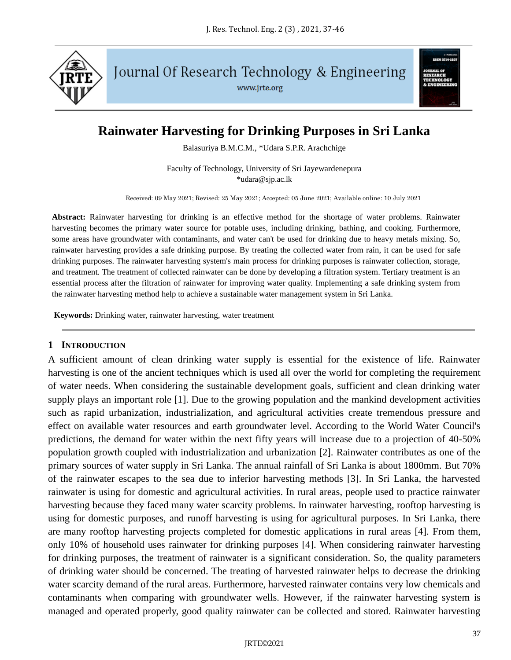

Journal Of Research Technology & Engineering

www.jrte.org

# **Rainwater Harvesting for Drinking Purposes in Sri Lanka**

Balasuriya B.M.C.M., \*Udara S.P.R. Arachchige

Faculty of Technology, University of Sri Jayewardenepura \*udara@sjp.ac.lk

Received: 09 May 2021; Revised: 25 May 2021; Accepted: 05 June 2021; Available online: 10 July 2021

**Abstract:** Rainwater harvesting for drinking is an effective method for the shortage of water problems. Rainwater harvesting becomes the primary water source for potable uses, including drinking, bathing, and cooking. Furthermore, some areas have groundwater with contaminants, and water can't be used for drinking due to heavy metals mixing. So, rainwater harvesting provides a safe drinking purpose. By treating the collected water from rain, it can be used for safe drinking purposes. The rainwater harvesting system's main process for drinking purposes is rainwater collection, storage, and treatment. The treatment of collected rainwater can be done by developing a filtration system. Tertiary treatment is an essential process after the filtration of rainwater for improving water quality. Implementing a safe drinking system from the rainwater harvesting method help to achieve a sustainable water management system in Sri Lanka.

**Keywords:** Drinking water, rainwater harvesting, water treatment

#### **1 INTRODUCTION**

A sufficient amount of clean drinking water supply is essential for the existence of life. Rainwater harvesting is one of the ancient techniques which is used all over the world for completing the requirement of water needs. When considering the sustainable development goals, sufficient and clean drinking water supply plays an important role [1]. Due to the growing population and the mankind development activities such as rapid urbanization, industrialization, and agricultural activities create tremendous pressure and effect on available water resources and earth groundwater level. According to the World Water Council's predictions, the demand for water within the next fifty years will increase due to a projection of 40-50% population growth coupled with industrialization and urbanization [2]. Rainwater contributes as one of the primary sources of water supply in Sri Lanka. The annual rainfall of Sri Lanka is about 1800mm. But 70% of the rainwater escapes to the sea due to inferior harvesting methods [3]. In Sri Lanka, the harvested rainwater is using for domestic and agricultural activities. In rural areas, people used to practice rainwater harvesting because they faced many water scarcity problems. In rainwater harvesting, rooftop harvesting is using for domestic purposes, and runoff harvesting is using for agricultural purposes. In Sri Lanka, there are many rooftop harvesting projects completed for domestic applications in rural areas [4]. From them, only 10% of household uses rainwater for drinking purposes [4]. When considering rainwater harvesting for drinking purposes, the treatment of rainwater is a significant consideration. So, the quality parameters of drinking water should be concerned. The treating of harvested rainwater helps to decrease the drinking water scarcity demand of the rural areas. Furthermore, harvested rainwater contains very low chemicals and contaminants when comparing with groundwater wells. However, if the rainwater harvesting system is managed and operated properly, good quality rainwater can be collected and stored. Rainwater harvesting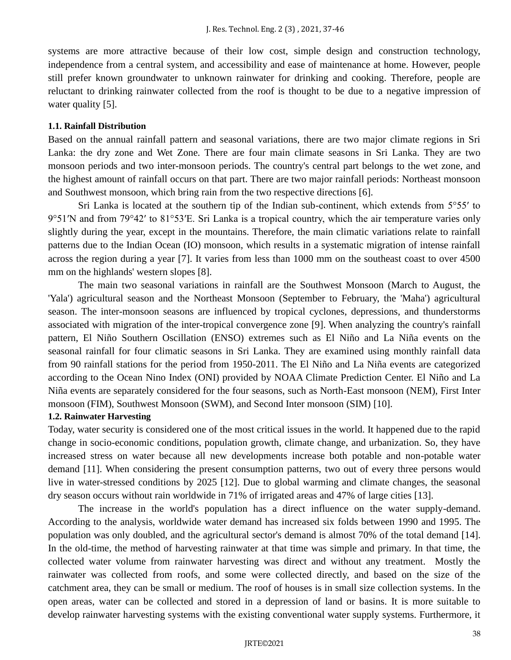systems are more attractive because of their low cost, simple design and construction technology, independence from a central system, and accessibility and ease of maintenance at home. However, people still prefer known groundwater to unknown rainwater for drinking and cooking. Therefore, people are reluctant to drinking rainwater collected from the roof is thought to be due to a negative impression of water quality [5].

### **1.1. Rainfall Distribution**

Based on the annual rainfall pattern and seasonal variations, there are two major climate regions in Sri Lanka: the dry zone and Wet Zone. There are four main climate seasons in Sri Lanka. They are two monsoon periods and two inter-monsoon periods. The country's central part belongs to the wet zone, and the highest amount of rainfall occurs on that part. There are two major rainfall periods: Northeast monsoon and Southwest monsoon, which bring rain from the two respective directions [6].

Sri Lanka is located at the southern tip of the Indian sub-continent, which extends from 5°55' to 9°51′N and from 79°42′ to 81°53′E. Sri Lanka is a tropical country, which the air temperature varies only slightly during the year, except in the mountains. Therefore, the main climatic variations relate to rainfall patterns due to the Indian Ocean (IO) monsoon, which results in a systematic migration of intense rainfall across the region during a year [7]. It varies from less than 1000 mm on the southeast coast to over 4500 mm on the highlands' western slopes [8].

The main two seasonal variations in rainfall are the Southwest Monsoon (March to August, the 'Yala') agricultural season and the Northeast Monsoon (September to February, the 'Maha') agricultural season. The inter-monsoon seasons are influenced by tropical cyclones, depressions, and thunderstorms associated with migration of the inter-tropical convergence zone [9]. When analyzing the country's rainfall pattern, El Niño Southern Oscillation (ENSO) extremes such as El Niño and La Niña events on the seasonal rainfall for four climatic seasons in Sri Lanka. They are examined using monthly rainfall data from 90 rainfall stations for the period from 1950-2011. The El Niño and La Niña events are categorized according to the Ocean Nino Index (ONI) provided by NOAA Climate Prediction Center. El Niño and La Niña events are separately considered for the four seasons, such as North-East monsoon (NEM), First Inter monsoon (FIM), Southwest Monsoon (SWM), and Second Inter monsoon (SIM) [10].

### **1.2. Rainwater Harvesting**

Today, water security is considered one of the most critical issues in the world. It happened due to the rapid change in socio-economic conditions, population growth, climate change, and urbanization. So, they have increased stress on water because all new developments increase both potable and non-potable water demand [11]. When considering the present consumption patterns, two out of every three persons would live in water-stressed conditions by 2025 [12]. Due to global warming and climate changes, the seasonal dry season occurs without rain worldwide in 71% of irrigated areas and 47% of large cities [13].

The increase in the world's population has a direct influence on the water supply-demand. According to the analysis, worldwide water demand has increased six folds between 1990 and 1995. The population was only doubled, and the agricultural sector's demand is almost 70% of the total demand [14]. In the old-time, the method of harvesting rainwater at that time was simple and primary. In that time, the collected water volume from rainwater harvesting was direct and without any treatment. Mostly the rainwater was collected from roofs, and some were collected directly, and based on the size of the catchment area, they can be small or medium. The roof of houses is in small size collection systems. In the open areas, water can be collected and stored in a depression of land or basins. It is more suitable to develop rainwater harvesting systems with the existing conventional water supply systems. Furthermore, it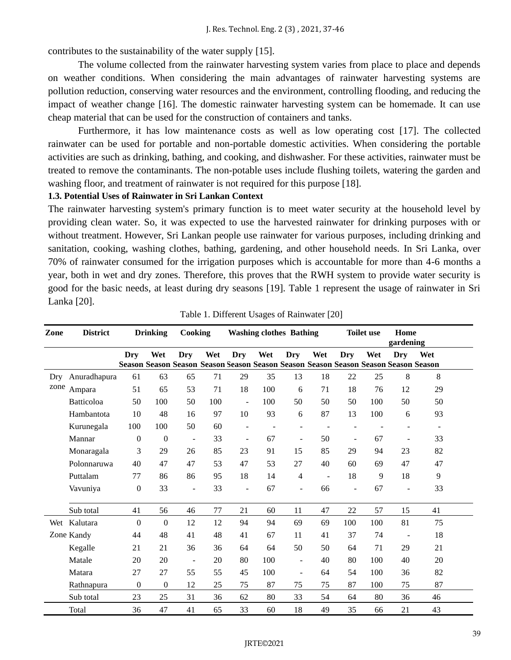contributes to the sustainability of the water supply [15].

The volume collected from the rainwater harvesting system varies from place to place and depends on weather conditions. When considering the main advantages of rainwater harvesting systems are pollution reduction, conserving water resources and the environment, controlling flooding, and reducing the impact of weather change [16]. The domestic rainwater harvesting system can be homemade. It can use cheap material that can be used for the construction of containers and tanks.

Furthermore, it has low maintenance costs as well as low operating cost [17]. The collected rainwater can be used for portable and non-portable domestic activities. When considering the portable activities are such as drinking, bathing, and cooking, and dishwasher. For these activities, rainwater must be treated to remove the contaminants. The non-potable uses include flushing toilets, watering the garden and washing floor, and treatment of rainwater is not required for this purpose [18].

### **1.3. Potential Uses of Rainwater in Sri Lankan Context**

The rainwater harvesting system's primary function is to meet water security at the household level by providing clean water. So, it was expected to use the harvested rainwater for drinking purposes with or without treatment. However, Sri Lankan people use rainwater for various purposes, including drinking and sanitation, cooking, washing clothes, bathing, gardening, and other household needs. In Sri Lanka, over 70% of rainwater consumed for the irrigation purposes which is accountable for more than 4-6 months a year, both in wet and dry zones. Therefore, this proves that the RWH system to provide water security is good for the basic needs, at least during dry seasons [19]. Table 1 represent the usage of rainwater in Sri Lanka [20].

| Zone        | <b>District</b> | <b>Drinking</b>  |                  | Cooking        |     | <b>Washing clothes Bathing</b> |     |                          |                | <b>Toilet use</b> |     | Home<br>gardening        |                                                                                            |  |
|-------------|-----------------|------------------|------------------|----------------|-----|--------------------------------|-----|--------------------------|----------------|-------------------|-----|--------------------------|--------------------------------------------------------------------------------------------|--|
|             |                 | Dry              | Wet              | Dry            | Wet | Dry                            | Wet | Dry                      | Wet            | Dry               | Wet | Dry                      | Wet<br>Season Season Season Season Season Season Season Season Season Season Season Season |  |
| Dry<br>zone | Anuradhapura    | 61               | 63               | 65             | 71  | 29                             | 35  | 13                       | 18             | 22                | 25  | 8                        | 8                                                                                          |  |
|             | Ampara          | 51               | 65               | 53             | 71  | 18                             | 100 | 6                        | 71             | 18                | 76  | 12                       | 29                                                                                         |  |
|             | Batticoloa      | 50               | 100              | 50             | 100 | $\Box$                         | 100 | 50                       | 50             | 50                | 100 | 50                       | 50                                                                                         |  |
|             | Hambantota      | 10               | 48               | 16             | 97  | 10                             | 93  | 6                        | 87             | 13                | 100 | 6                        | 93                                                                                         |  |
|             | Kurunegala      | 100              | 100              | 50             | 60  |                                |     |                          |                |                   |     |                          |                                                                                            |  |
|             | Mannar          | $\mathbf{0}$     | $\boldsymbol{0}$ | $\overline{a}$ | 33  | $\overline{\phantom{a}}$       | 67  | $\overline{\phantom{a}}$ | 50             |                   | 67  |                          | 33                                                                                         |  |
|             | Monaragala      | 3                | 29               | 26             | 85  | 23                             | 91  | 15                       | 85             | 29                | 94  | 23                       | 82                                                                                         |  |
|             | Polonnaruwa     | 40               | 47               | 47             | 53  | 47                             | 53  | 27                       | 40             | 60                | 69  | 47                       | 47                                                                                         |  |
|             | Puttalam        | 77               | 86               | 86             | 95  | 18                             | 14  | 4                        | $\blacksquare$ | 18                | 9   | 18                       | 9                                                                                          |  |
|             | Vavuniya        | $\boldsymbol{0}$ | 33               | $\overline{a}$ | 33  |                                | 67  | $\overline{\phantom{0}}$ | 66             | L,                | 67  | $\overline{a}$           | 33                                                                                         |  |
|             | Sub total       | 41               | 56               | 46             | 77  | 21                             | 60  | 11                       | 47             | $22\,$            | 57  | 15                       | 41                                                                                         |  |
|             | Wet Kalutara    | $\mathbf{0}$     | $\mathbf{0}$     | 12             | 12  | 94                             | 94  | 69                       | 69             | 100               | 100 | 81                       | 75                                                                                         |  |
|             | Zone Kandy      | 44               | 48               | 41             | 48  | 41                             | 67  | 11                       | 41             | 37                | 74  | $\overline{\phantom{a}}$ | 18                                                                                         |  |
|             | Kegalle         | 21               | 21               | 36             | 36  | 64                             | 64  | 50                       | 50             | 64                | 71  | 29                       | 21                                                                                         |  |
|             | Matale          | 20               | 20               | $\overline{a}$ | 20  | 80                             | 100 | $\overline{\phantom{a}}$ | 40             | 80                | 100 | 40                       | 20                                                                                         |  |
|             | Matara          | 27               | 27               | 55             | 55  | 45                             | 100 | ÷                        | 64             | 54                | 100 | 36                       | 82                                                                                         |  |
|             | Rathnapura      | $\mathbf{0}$     | 0                | 12             | 25  | 75                             | 87  | 75                       | 75             | 87                | 100 | 75                       | 87                                                                                         |  |
|             | Sub total       | 23               | 25               | 31             | 36  | 62                             | 80  | 33                       | 54             | 64                | 80  | 36                       | 46                                                                                         |  |
|             | Total           | 36               | 47               | 41             | 65  | 33                             | 60  | 18                       | 49             | 35                | 66  | 21                       | 43                                                                                         |  |

Table 1. Different Usages of Rainwater [20]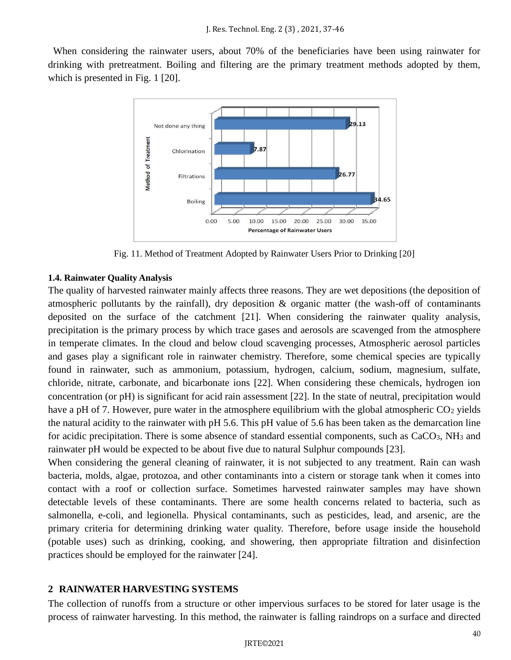When considering the rainwater users, about 70% of the beneficiaries have been using rainwater for drinking with pretreatment. Boiling and filtering are the primary treatment methods adopted by them, which is presented in Fig. 1 [20].



Fig. 11. Method of Treatment Adopted by Rainwater Users Prior to Drinking [20]

### **1.4. Rainwater Quality Analysis**

The quality of harvested rainwater mainly affects three reasons. They are wet depositions (the deposition of atmospheric pollutants by the rainfall), dry deposition & organic matter (the wash-off of contaminants deposited on the surface of the catchment [21]. When considering the rainwater quality analysis, precipitation is the primary process by which trace gases and aerosols are scavenged from the atmosphere in temperate climates. In the cloud and below cloud scavenging processes, Atmospheric aerosol particles and gases play a significant role in rainwater chemistry. Therefore, some chemical species are typically found in rainwater, such as ammonium, potassium, hydrogen, calcium, sodium, magnesium, sulfate, chloride, nitrate, carbonate, and bicarbonate ions [22]. When considering these chemicals, hydrogen ion concentration (or pH) is significant for acid rain assessment [22]. In the state of neutral, precipitation would have a pH of 7. However, pure water in the atmosphere equilibrium with the global atmospheric  $CO<sub>2</sub>$  yields the natural acidity to the rainwater with pH 5.6. This pH value of 5.6 has been taken as the demarcation line for acidic precipitation. There is some absence of standard essential components, such as  $CaCO<sub>3</sub>$ , NH<sub>3</sub> and rainwater pH would be expected to be about five due to natural Sulphur compounds [23].

When considering the general cleaning of rainwater, it is not subjected to any treatment. Rain can wash bacteria, molds, algae, protozoa, and other contaminants into a cistern or storage tank when it comes into contact with a roof or collection surface. Sometimes harvested rainwater samples may have shown detectable levels of these contaminants. There are some health concerns related to bacteria, such as salmonella, e-coli, and legionella. Physical contaminants, such as pesticides, lead, and arsenic, are the primary criteria for determining drinking water quality. Therefore, before usage inside the household (potable uses) such as drinking, cooking, and showering, then appropriate filtration and disinfection practices should be employed for the rainwater [24].

### **2 RAINWATER HARVESTING SYSTEMS**

The collection of runoffs from a structure or other impervious surfaces to be stored for later usage is the process of rainwater harvesting. In this method, the rainwater is falling raindrops on a surface and directed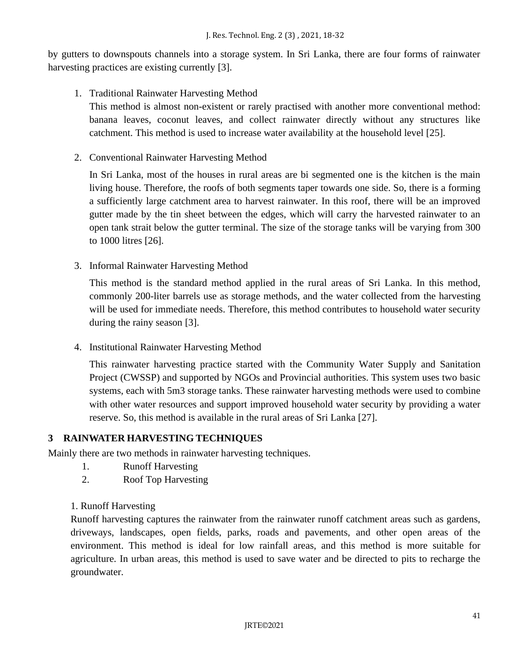by gutters to downspouts channels into a storage system. In Sri Lanka, there are four forms of rainwater harvesting practices are existing currently [3].

# 1. Traditional Rainwater Harvesting Method

This method is almost non-existent or rarely practised with another more conventional method: banana leaves, coconut leaves, and collect rainwater directly without any structures like catchment. This method is used to increase water availability at the household level [25].

2. Conventional Rainwater Harvesting Method

In Sri Lanka, most of the houses in rural areas are bi segmented one is the kitchen is the main living house. Therefore, the roofs of both segments taper towards one side. So, there is a forming a sufficiently large catchment area to harvest rainwater. In this roof, there will be an improved gutter made by the tin sheet between the edges, which will carry the harvested rainwater to an open tank strait below the gutter terminal. The size of the storage tanks will be varying from 300 to 1000 litres [26].

3. Informal Rainwater Harvesting Method

This method is the standard method applied in the rural areas of Sri Lanka. In this method, commonly 200-liter barrels use as storage methods, and the water collected from the harvesting will be used for immediate needs. Therefore, this method contributes to household water security during the rainy season [3].

4. Institutional Rainwater Harvesting Method

This rainwater harvesting practice started with the Community Water Supply and Sanitation Project (CWSSP) and supported by NGOs and Provincial authorities. This system uses two basic systems, each with 5m3 storage tanks. These rainwater harvesting methods were used to combine with other water resources and support improved household water security by providing a water reserve. So, this method is available in the rural areas of Sri Lanka [27].

## **3 RAINWATER HARVESTING TECHNIQUES**

Mainly there are two methods in rainwater harvesting techniques.

- 1. Runoff Harvesting
- 2. Roof Top Harvesting
- 1. Runoff Harvesting

Runoff harvesting captures the rainwater from the rainwater runoff catchment areas such as gardens, driveways, landscapes, open fields, parks, roads and pavements, and other open areas of the environment. This method is ideal for low rainfall areas, and this method is more suitable for agriculture. In urban areas, this method is used to save water and be directed to pits to recharge the groundwater.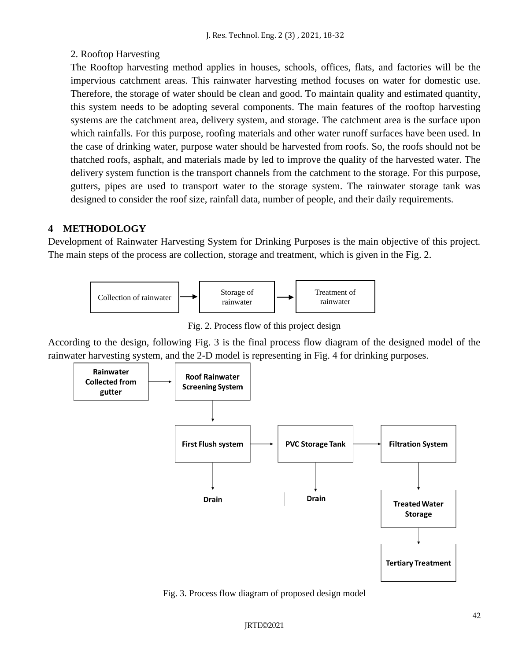# 2. Rooftop Harvesting

The Rooftop harvesting method applies in houses, schools, offices, flats, and factories will be the impervious catchment areas. This rainwater harvesting method focuses on water for domestic use. Therefore, the storage of water should be clean and good. To maintain quality and estimated quantity, this system needs to be adopting several components. The main features of the rooftop harvesting systems are the catchment area, delivery system, and storage. The catchment area is the surface upon which rainfalls. For this purpose, roofing materials and other water runoff surfaces have been used. In the case of drinking water, purpose water should be harvested from roofs. So, the roofs should not be thatched roofs, asphalt, and materials made by led to improve the quality of the harvested water. The delivery system function is the transport channels from the catchment to the storage. For this purpose, gutters, pipes are used to transport water to the storage system. The rainwater storage tank was designed to consider the roof size, rainfall data, number of people, and their daily requirements.

# **4 METHODOLOGY**

Development of Rainwater Harvesting System for Drinking Purposes is the main objective of this project. The main steps of the process are collection, storage and treatment, which is given in the Fig. 2.



Fig. 2. Process flow of this project design

According to the design, following Fig. 3 is the final process flow diagram of the designed model of the rainwater harvesting system, and the 2-D model is representing in Fig. 4 for drinking purposes.



Fig. 3. Process flow diagram of proposed design model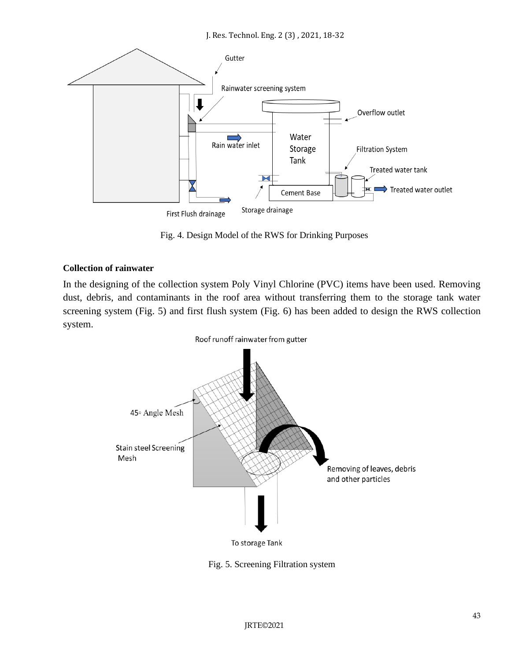

Fig. 4. Design Model of the RWS for Drinking Purposes

### **Collection of rainwater**

In the designing of the collection system Poly Vinyl Chlorine (PVC) items have been used. Removing dust, debris, and contaminants in the roof area without transferring them to the storage tank water screening system (Fig. 5) and first flush system (Fig. 6) has been added to design the RWS collection system.



Fig. 5. Screening Filtration system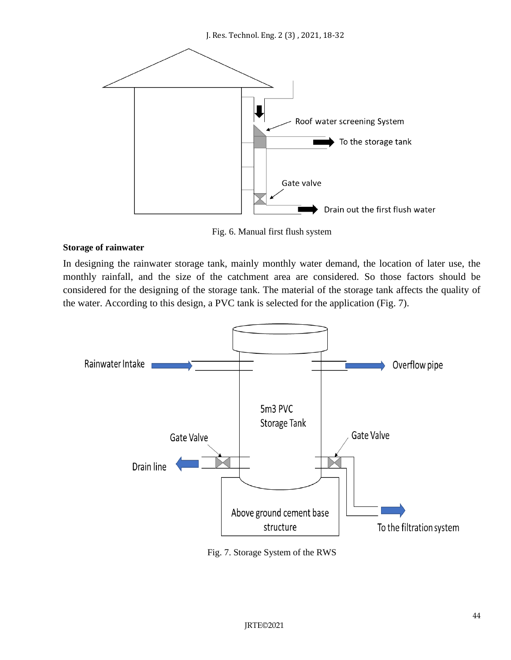

Fig. 6. Manual first flush system

### **Storage of rainwater**

In designing the rainwater storage tank, mainly monthly water demand, the location of later use, the monthly rainfall, and the size of the catchment area are considered. So those factors should be considered for the designing of the storage tank. The material of the storage tank affects the quality of the water. According to this design, a PVC tank is selected for the application (Fig. 7).



Fig. 7. Storage System of the RWS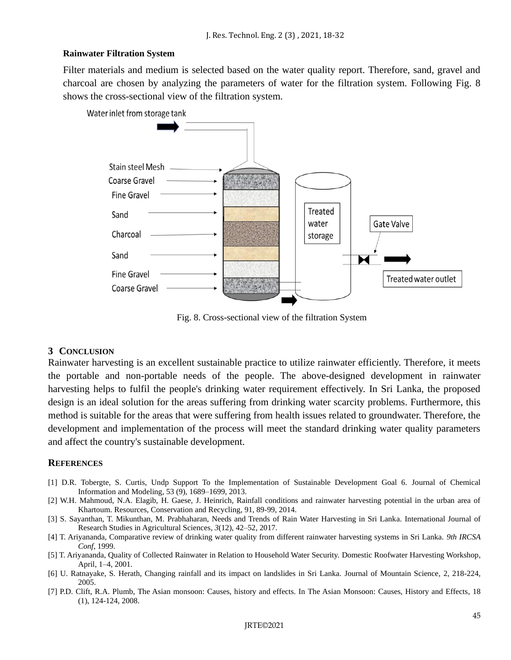### **Rainwater Filtration System**

Filter materials and medium is selected based on the water quality report. Therefore, sand, gravel and charcoal are chosen by analyzing the parameters of water for the filtration system. Following Fig. 8 shows the cross-sectional view of the filtration system.

Water inlet from storage tank



Fig. 8. Cross-sectional view of the filtration System

### **3 CONCLUSION**

Rainwater harvesting is an excellent sustainable practice to utilize rainwater efficiently. Therefore, it meets the portable and non-portable needs of the people. The above-designed development in rainwater harvesting helps to fulfil the people's drinking water requirement effectively. In Sri Lanka, the proposed design is an ideal solution for the areas suffering from drinking water scarcity problems. Furthermore, this method is suitable for the areas that were suffering from health issues related to groundwater. Therefore, the development and implementation of the process will meet the standard drinking water quality parameters and affect the country's sustainable development.

### **REFERENCES**

- [1] D.R. Tobergte, S. Curtis, Undp Support To the Implementation of Sustainable Development Goal 6. Journal of Chemical Information and Modeling, 53 (9), 1689–1699, 2013.
- [2] W.H. Mahmoud, N.A. Elagib, H. Gaese, J. Heinrich, Rainfall conditions and rainwater harvesting potential in the urban area of Khartoum. Resources, Conservation and Recycling, 91, 89-99, 2014.
- [3] S. Sayanthan, T. Mikunthan, M. Prabhaharan, Needs and Trends of Rain Water Harvesting in Sri Lanka. International Journal of Research Studies in Agricultural Sciences, *3*(12), 42–52, 2017.
- [4] T. Ariyananda, Comparative review of drinking water quality from different rainwater harvesting systems in Sri Lanka. *9th IRCSA Conf*, 1999.
- [5] T. Ariyananda, Quality of Collected Rainwater in Relation to Household Water Security. Domestic Roofwater Harvesting Workshop, April, 1–4, 2001.
- [6] U. Ratnayake, S. Herath, Changing rainfall and its impact on landslides in Sri Lanka. Journal of Mountain Science, 2, 218-224, 2005.
- [7] P.D. Clift, R.A. Plumb, The Asian monsoon: Causes, history and effects. In The Asian Monsoon: Causes, History and Effects, 18 (1), 124-124, 2008.